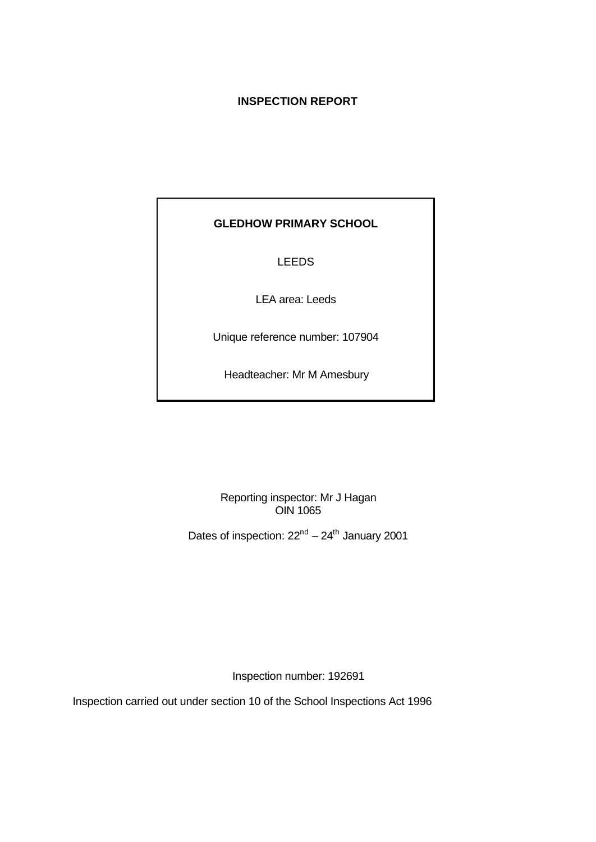## **INSPECTION REPORT**

# **GLEDHOW PRIMARY SCHOOL**

# LEEDS

LEA area: Leeds

Unique reference number: 107904

Headteacher: Mr M Amesbury

Reporting inspector: Mr J Hagan OIN 1065

Dates of inspection:  $22^{nd} - 24^{th}$  January 2001

Inspection number: 192691

Inspection carried out under section 10 of the School Inspections Act 1996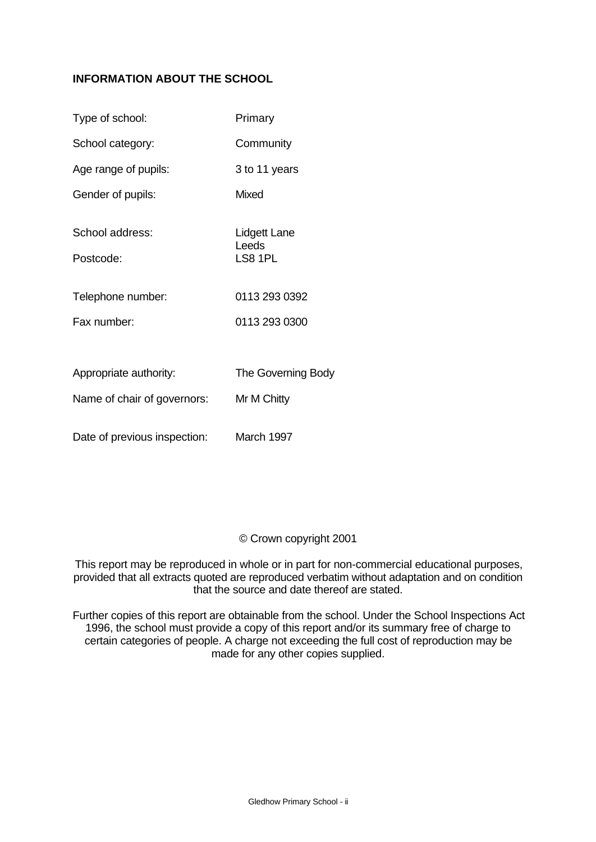## **INFORMATION ABOUT THE SCHOOL**

| Type of school:              | Primary                          |
|------------------------------|----------------------------------|
| School category:             | Community                        |
| Age range of pupils:         | 3 to 11 years                    |
| Gender of pupils:            | <b>Mixed</b>                     |
| School address:<br>Postcode: | Lidgett Lane<br>Leeds<br>LS8 1PL |
| Telephone number:            | 0113 293 0392                    |
| Fax number:                  | 0113 293 0300                    |
|                              |                                  |
| Appropriate authority:       | The Governing Body               |
| Name of chair of governors:  | Mr M Chitty                      |
| Date of previous inspection: | March 1997                       |

### © Crown copyright 2001

This report may be reproduced in whole or in part for non-commercial educational purposes, provided that all extracts quoted are reproduced verbatim without adaptation and on condition that the source and date thereof are stated.

Further copies of this report are obtainable from the school. Under the School Inspections Act 1996, the school must provide a copy of this report and/or its summary free of charge to certain categories of people. A charge not exceeding the full cost of reproduction may be made for any other copies supplied.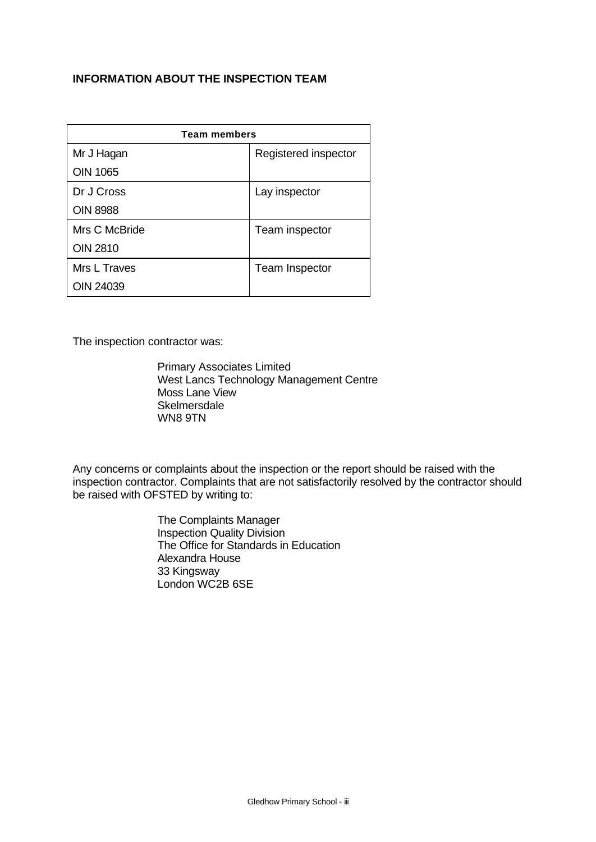## **INFORMATION ABOUT THE INSPECTION TEAM**

| <b>Team members</b> |                       |  |  |  |
|---------------------|-----------------------|--|--|--|
| Mr J Hagan          | Registered inspector  |  |  |  |
| <b>OIN 1065</b>     |                       |  |  |  |
| Dr J Cross          | Lay inspector         |  |  |  |
| <b>OIN 8988</b>     |                       |  |  |  |
| Mrs C McBride       | Team inspector        |  |  |  |
| <b>OIN 2810</b>     |                       |  |  |  |
| Mrs L Traves        | <b>Team Inspector</b> |  |  |  |
| OIN 24039           |                       |  |  |  |

The inspection contractor was:

Primary Associates Limited West Lancs Technology Management Centre Moss Lane View **Skelmersdale** WN8 9TN

Any concerns or complaints about the inspection or the report should be raised with the inspection contractor. Complaints that are not satisfactorily resolved by the contractor should be raised with OFSTED by writing to:

> The Complaints Manager Inspection Quality Division The Office for Standards in Education Alexandra House 33 Kingsway London WC2B 6SE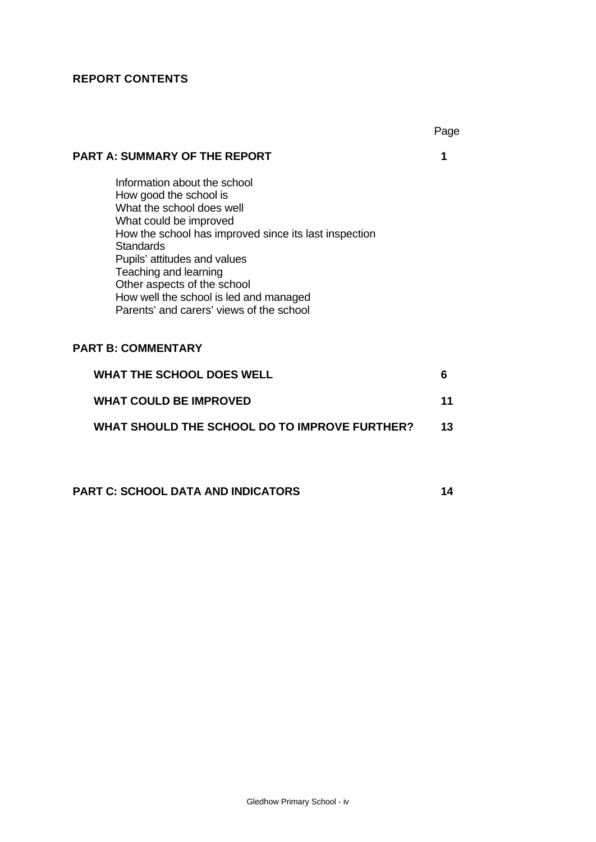# **REPORT CONTENTS**

|                                                                                                                                                                                                                                                                                                                                                                   | Page |
|-------------------------------------------------------------------------------------------------------------------------------------------------------------------------------------------------------------------------------------------------------------------------------------------------------------------------------------------------------------------|------|
| <b>PART A: SUMMARY OF THE REPORT</b>                                                                                                                                                                                                                                                                                                                              | 1    |
| Information about the school<br>How good the school is<br>What the school does well<br>What could be improved<br>How the school has improved since its last inspection<br>Standards<br>Pupils' attitudes and values<br>Teaching and learning<br>Other aspects of the school<br>How well the school is led and managed<br>Parents' and carers' views of the school |      |
| <b>PART B: COMMENTARY</b>                                                                                                                                                                                                                                                                                                                                         |      |
| <b>WHAT THE SCHOOL DOES WELL</b>                                                                                                                                                                                                                                                                                                                                  | 6    |
| <b>WHAT COULD BE IMPROVED</b>                                                                                                                                                                                                                                                                                                                                     | 11   |
| WHAT SHOULD THE SCHOOL DO TO IMPROVE FURTHER?                                                                                                                                                                                                                                                                                                                     | 13   |
|                                                                                                                                                                                                                                                                                                                                                                   |      |

**PART C: SCHOOL DATA AND INDICATORS 14**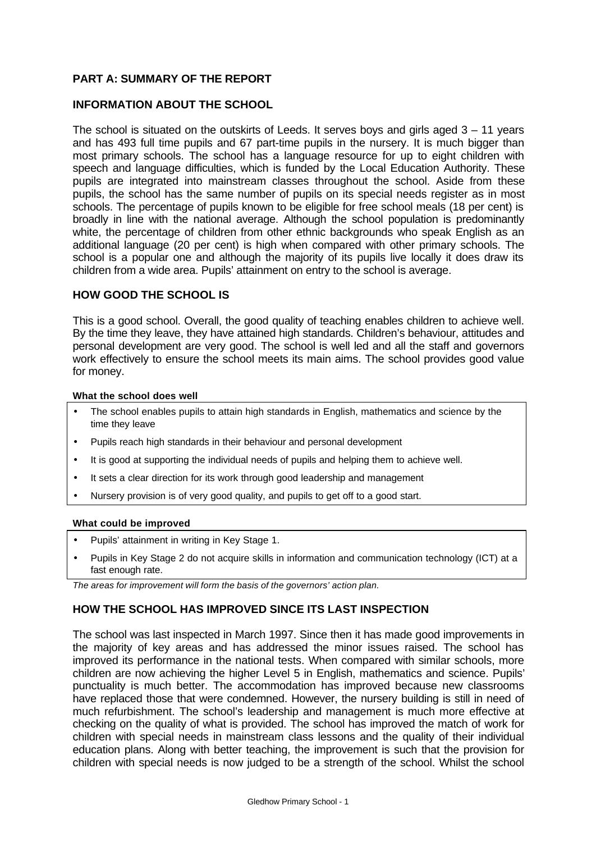### **PART A: SUMMARY OF THE REPORT**

#### **INFORMATION ABOUT THE SCHOOL**

The school is situated on the outskirts of Leeds. It serves boys and girls aged  $3 - 11$  years and has 493 full time pupils and 67 part-time pupils in the nursery. It is much bigger than most primary schools. The school has a language resource for up to eight children with speech and language difficulties, which is funded by the Local Education Authority. These pupils are integrated into mainstream classes throughout the school. Aside from these pupils, the school has the same number of pupils on its special needs register as in most schools. The percentage of pupils known to be eligible for free school meals (18 per cent) is broadly in line with the national average. Although the school population is predominantly white, the percentage of children from other ethnic backgrounds who speak English as an additional language (20 per cent) is high when compared with other primary schools. The school is a popular one and although the majority of its pupils live locally it does draw its children from a wide area. Pupils' attainment on entry to the school is average.

#### **HOW GOOD THE SCHOOL IS**

This is a good school. Overall, the good quality of teaching enables children to achieve well. By the time they leave, they have attained high standards. Children's behaviour, attitudes and personal development are very good. The school is well led and all the staff and governors work effectively to ensure the school meets its main aims. The school provides good value for money.

#### **What the school does well**

- The school enables pupils to attain high standards in English, mathematics and science by the time they leave
- Pupils reach high standards in their behaviour and personal development
- It is good at supporting the individual needs of pupils and helping them to achieve well.
- It sets a clear direction for its work through good leadership and management
- Nursery provision is of very good quality, and pupils to get off to a good start.

#### **What could be improved**

- Pupils' attainment in writing in Key Stage 1.
- Pupils in Key Stage 2 do not acquire skills in information and communication technology (ICT) at a fast enough rate.

*The areas for improvement will form the basis of the governors' action plan.*

### **HOW THE SCHOOL HAS IMPROVED SINCE ITS LAST INSPECTION**

The school was last inspected in March 1997. Since then it has made good improvements in the majority of key areas and has addressed the minor issues raised. The school has improved its performance in the national tests. When compared with similar schools, more children are now achieving the higher Level 5 in English, mathematics and science. Pupils' punctuality is much better. The accommodation has improved because new classrooms have replaced those that were condemned. However, the nursery building is still in need of much refurbishment. The school's leadership and management is much more effective at checking on the quality of what is provided. The school has improved the match of work for children with special needs in mainstream class lessons and the quality of their individual education plans. Along with better teaching, the improvement is such that the provision for children with special needs is now judged to be a strength of the school. Whilst the school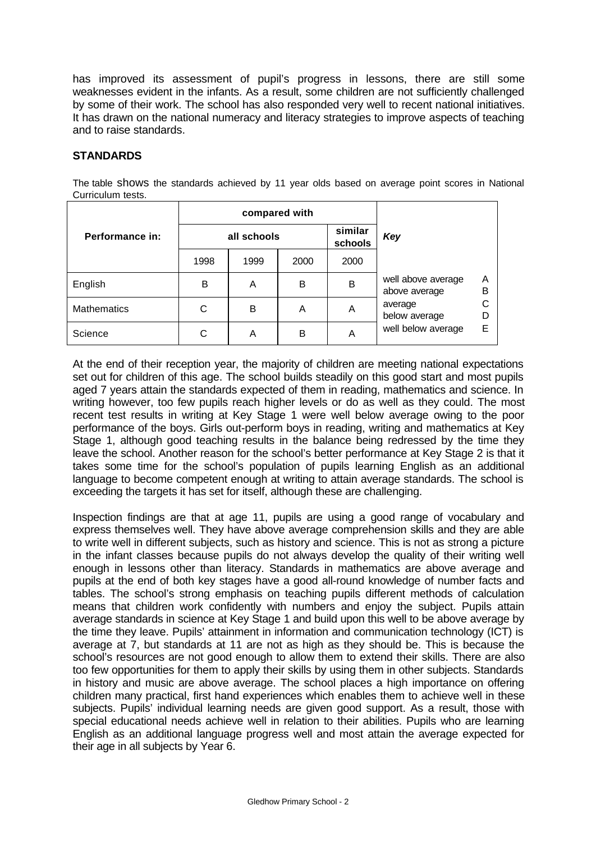has improved its assessment of pupil's progress in lessons, there are still some weaknesses evident in the infants. As a result, some children are not sufficiently challenged by some of their work. The school has also responded very well to recent national initiatives. It has drawn on the national numeracy and literacy strategies to improve aspects of teaching and to raise standards.

## **STANDARDS**

The table shows the standards achieved by 11 year olds based on average point scores in National Curriculum tests.

|                    |      | compared with |      |                    |                                     |        |
|--------------------|------|---------------|------|--------------------|-------------------------------------|--------|
| Performance in:    |      | all schools   |      | similar<br>schools | Key                                 |        |
|                    | 1998 | 1999          | 2000 | 2000               |                                     |        |
| English            | B    | A             | B    | B                  | well above average<br>above average | A<br>B |
| <b>Mathematics</b> | С    | B             | A    | A                  | average<br>below average            |        |
| Science            |      | A             | B    | A                  | well below average                  | E      |

At the end of their reception year, the majority of children are meeting national expectations set out for children of this age. The school builds steadily on this good start and most pupils aged 7 years attain the standards expected of them in reading, mathematics and science. In writing however, too few pupils reach higher levels or do as well as they could. The most recent test results in writing at Key Stage 1 were well below average owing to the poor performance of the boys. Girls out-perform boys in reading, writing and mathematics at Key Stage 1, although good teaching results in the balance being redressed by the time they leave the school. Another reason for the school's better performance at Key Stage 2 is that it takes some time for the school's population of pupils learning English as an additional language to become competent enough at writing to attain average standards. The school is exceeding the targets it has set for itself, although these are challenging.

Inspection findings are that at age 11, pupils are using a good range of vocabulary and express themselves well. They have above average comprehension skills and they are able to write well in different subjects, such as history and science. This is not as strong a picture in the infant classes because pupils do not always develop the quality of their writing well enough in lessons other than literacy. Standards in mathematics are above average and pupils at the end of both key stages have a good all-round knowledge of number facts and tables. The school's strong emphasis on teaching pupils different methods of calculation means that children work confidently with numbers and enjoy the subject. Pupils attain average standards in science at Key Stage 1 and build upon this well to be above average by the time they leave. Pupils' attainment in information and communication technology (ICT) is average at 7, but standards at 11 are not as high as they should be. This is because the school's resources are not good enough to allow them to extend their skills. There are also too few opportunities for them to apply their skills by using them in other subjects. Standards in history and music are above average. The school places a high importance on offering children many practical, first hand experiences which enables them to achieve well in these subjects. Pupils' individual learning needs are given good support. As a result, those with special educational needs achieve well in relation to their abilities. Pupils who are learning English as an additional language progress well and most attain the average expected for their age in all subjects by Year 6.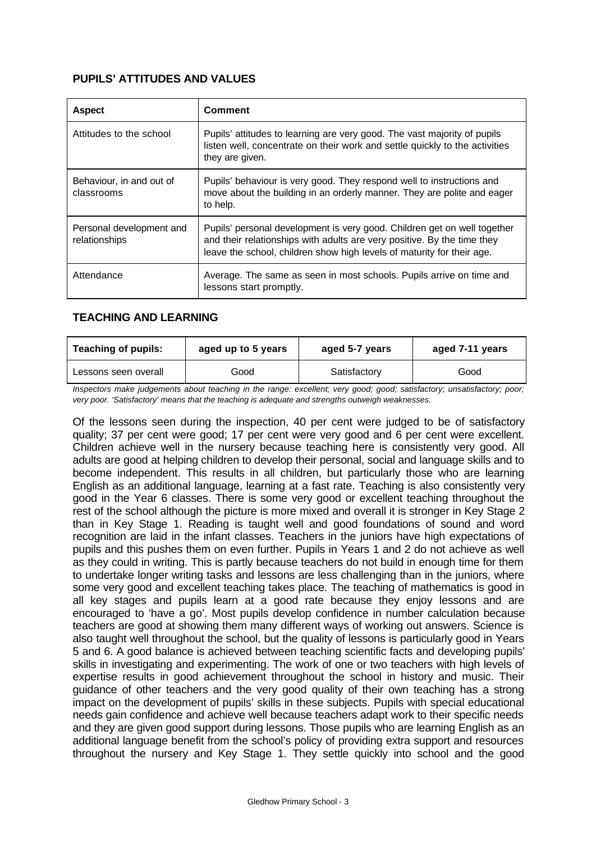## **PUPILS' ATTITUDES AND VALUES**

| <b>Aspect</b>                             | <b>Comment</b>                                                                                                                                                                                                                |
|-------------------------------------------|-------------------------------------------------------------------------------------------------------------------------------------------------------------------------------------------------------------------------------|
| Attitudes to the school                   | Pupils' attitudes to learning are very good. The vast majority of pupils<br>listen well, concentrate on their work and settle quickly to the activities<br>they are given.                                                    |
| Behaviour, in and out of<br>classrooms    | Pupils' behaviour is very good. They respond well to instructions and<br>move about the building in an orderly manner. They are polite and eager<br>to help.                                                                  |
| Personal development and<br>relationships | Pupils' personal development is very good. Children get on well together<br>and their relationships with adults are very positive. By the time they<br>leave the school, children show high levels of maturity for their age. |
| Attendance                                | Average. The same as seen in most schools. Pupils arrive on time and<br>lessons start promptly.                                                                                                                               |

### **TEACHING AND LEARNING**

| <b>Teaching of pupils:</b><br>aged up to 5 years |  | aged 5-7 years | aged 7-11 years |  |
|--------------------------------------------------|--|----------------|-----------------|--|
| Good<br>Lessons seen overall                     |  | Satisfactory   | Good            |  |

*Inspectors make judgements about teaching in the range: excellent; very good; good; satisfactory; unsatisfactory; poor; very poor. 'Satisfactory' means that the teaching is adequate and strengths outweigh weaknesses.*

Of the lessons seen during the inspection, 40 per cent were judged to be of satisfactory quality; 37 per cent were good; 17 per cent were very good and 6 per cent were excellent. Children achieve well in the nursery because teaching here is consistently very good. All adults are good at helping children to develop their personal, social and language skills and to become independent. This results in all children, but particularly those who are learning English as an additional language, learning at a fast rate. Teaching is also consistently very good in the Year 6 classes. There is some very good or excellent teaching throughout the rest of the school although the picture is more mixed and overall it is stronger in Key Stage 2 than in Key Stage 1. Reading is taught well and good foundations of sound and word recognition are laid in the infant classes. Teachers in the juniors have high expectations of pupils and this pushes them on even further. Pupils in Years 1 and 2 do not achieve as well as they could in writing. This is partly because teachers do not build in enough time for them to undertake longer writing tasks and lessons are less challenging than in the juniors, where some very good and excellent teaching takes place. The teaching of mathematics is good in all key stages and pupils learn at a good rate because they enjoy lessons and are encouraged to 'have a go'. Most pupils develop confidence in number calculation because teachers are good at showing them many different ways of working out answers. Science is also taught well throughout the school, but the quality of lessons is particularly good in Years 5 and 6. A good balance is achieved between teaching scientific facts and developing pupils' skills in investigating and experimenting. The work of one or two teachers with high levels of expertise results in good achievement throughout the school in history and music. Their guidance of other teachers and the very good quality of their own teaching has a strong impact on the development of pupils' skills in these subjects. Pupils with special educational needs gain confidence and achieve well because teachers adapt work to their specific needs and they are given good support during lessons. Those pupils who are learning English as an additional language benefit from the school's policy of providing extra support and resources throughout the nursery and Key Stage 1. They settle quickly into school and the good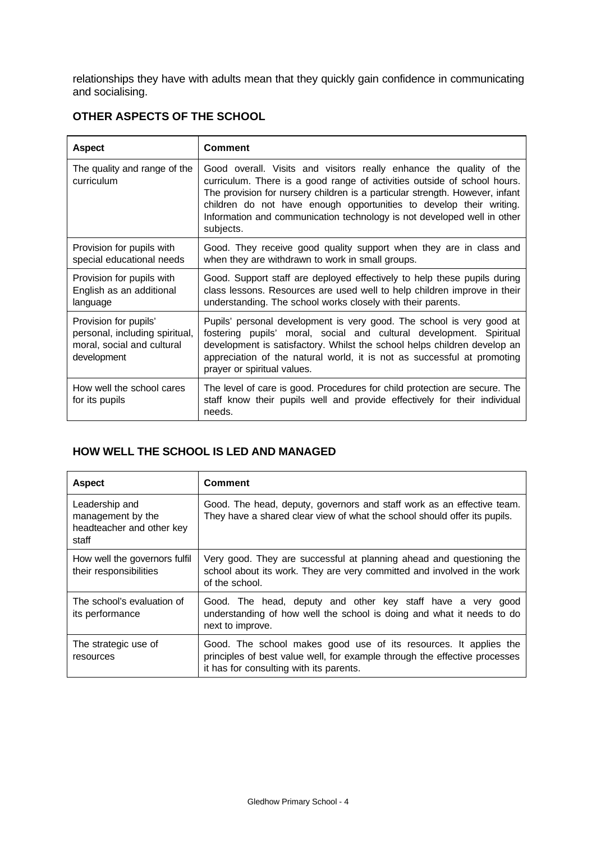relationships they have with adults mean that they quickly gain confidence in communicating and socialising.

# **OTHER ASPECTS OF THE SCHOOL**

| <b>Aspect</b>                                                                                        | Comment                                                                                                                                                                                                                                                                                                                                                                                        |
|------------------------------------------------------------------------------------------------------|------------------------------------------------------------------------------------------------------------------------------------------------------------------------------------------------------------------------------------------------------------------------------------------------------------------------------------------------------------------------------------------------|
| The quality and range of the<br><i>curriculum</i>                                                    | Good overall. Visits and visitors really enhance the quality of the<br>curriculum. There is a good range of activities outside of school hours.<br>The provision for nursery children is a particular strength. However, infant<br>children do not have enough opportunities to develop their writing.<br>Information and communication technology is not developed well in other<br>subjects. |
| Provision for pupils with<br>special educational needs                                               | Good. They receive good quality support when they are in class and<br>when they are withdrawn to work in small groups.                                                                                                                                                                                                                                                                         |
| Provision for pupils with<br>English as an additional<br>language                                    | Good. Support staff are deployed effectively to help these pupils during<br>class lessons. Resources are used well to help children improve in their<br>understanding. The school works closely with their parents.                                                                                                                                                                            |
| Provision for pupils'<br>personal, including spiritual,<br>moral, social and cultural<br>development | Pupils' personal development is very good. The school is very good at<br>fostering pupils' moral, social and cultural development. Spiritual<br>development is satisfactory. Whilst the school helps children develop an<br>appreciation of the natural world, it is not as successful at promoting<br>prayer or spiritual values.                                                             |
| How well the school cares<br>for its pupils                                                          | The level of care is good. Procedures for child protection are secure. The<br>staff know their pupils well and provide effectively for their individual<br>needs.                                                                                                                                                                                                                              |

## **HOW WELL THE SCHOOL IS LED AND MANAGED**

| <b>Aspect</b>                                                             | <b>Comment</b>                                                                                                                                                                            |
|---------------------------------------------------------------------------|-------------------------------------------------------------------------------------------------------------------------------------------------------------------------------------------|
| Leadership and<br>management by the<br>headteacher and other key<br>staff | Good. The head, deputy, governors and staff work as an effective team.<br>They have a shared clear view of what the school should offer its pupils.                                       |
| How well the governors fulfil<br>their responsibilities                   | Very good. They are successful at planning ahead and questioning the<br>school about its work. They are very committed and involved in the work<br>of the school.                         |
| The school's evaluation of<br>its performance                             | Good. The head, deputy and other key staff have a very good<br>understanding of how well the school is doing and what it needs to do<br>next to improve.                                  |
| The strategic use of<br>resources                                         | Good. The school makes good use of its resources. It applies the<br>principles of best value well, for example through the effective processes<br>it has for consulting with its parents. |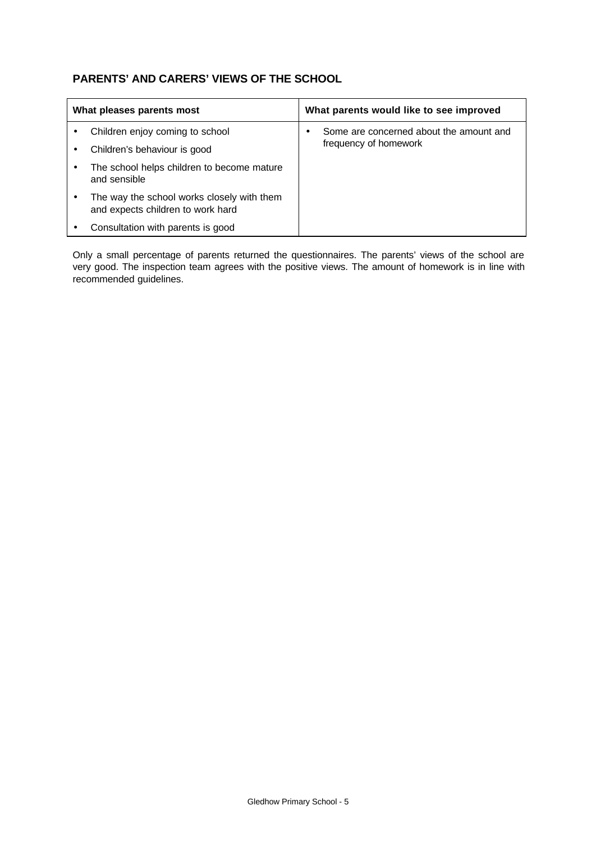# **PARENTS' AND CARERS' VIEWS OF THE SCHOOL**

| What pleases parents most |                                                                                 | What parents would like to see improved |                                         |                       |
|---------------------------|---------------------------------------------------------------------------------|-----------------------------------------|-----------------------------------------|-----------------------|
|                           | Children enjoy coming to school                                                 |                                         | Some are concerned about the amount and |                       |
|                           | Children's behaviour is good                                                    |                                         |                                         | frequency of homework |
|                           | The school helps children to become mature<br>and sensible                      |                                         |                                         |                       |
|                           | The way the school works closely with them<br>and expects children to work hard |                                         |                                         |                       |
|                           | Consultation with parents is good                                               |                                         |                                         |                       |

Only a small percentage of parents returned the questionnaires. The parents' views of the school are very good. The inspection team agrees with the positive views. The amount of homework is in line with recommended guidelines.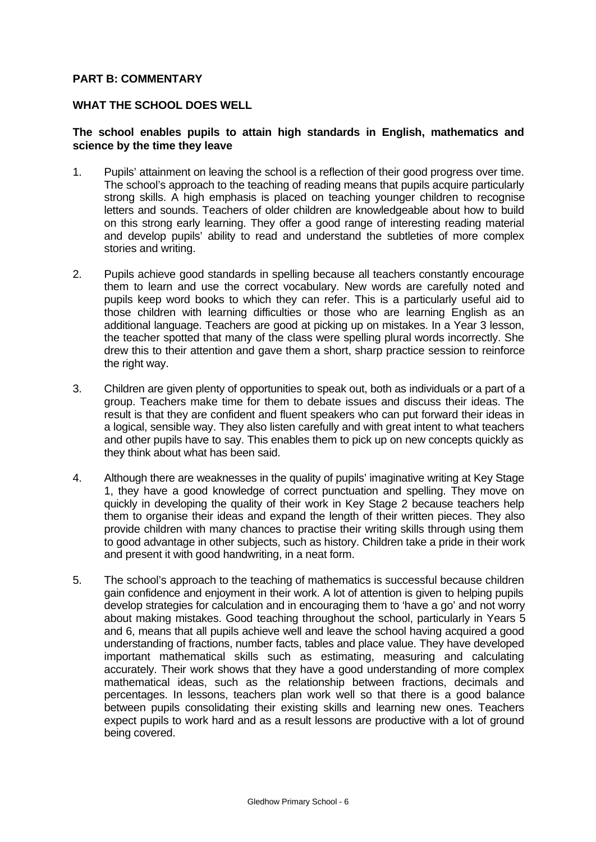#### **PART B: COMMENTARY**

#### **WHAT THE SCHOOL DOES WELL**

#### **The school enables pupils to attain high standards in English, mathematics and science by the time they leave**

- 1. Pupils' attainment on leaving the school is a reflection of their good progress over time. The school's approach to the teaching of reading means that pupils acquire particularly strong skills. A high emphasis is placed on teaching younger children to recognise letters and sounds. Teachers of older children are knowledgeable about how to build on this strong early learning. They offer a good range of interesting reading material and develop pupils' ability to read and understand the subtleties of more complex stories and writing.
- 2. Pupils achieve good standards in spelling because all teachers constantly encourage them to learn and use the correct vocabulary. New words are carefully noted and pupils keep word books to which they can refer. This is a particularly useful aid to those children with learning difficulties or those who are learning English as an additional language. Teachers are good at picking up on mistakes. In a Year 3 lesson, the teacher spotted that many of the class were spelling plural words incorrectly. She drew this to their attention and gave them a short, sharp practice session to reinforce the right way.
- 3. Children are given plenty of opportunities to speak out, both as individuals or a part of a group. Teachers make time for them to debate issues and discuss their ideas. The result is that they are confident and fluent speakers who can put forward their ideas in a logical, sensible way. They also listen carefully and with great intent to what teachers and other pupils have to say. This enables them to pick up on new concepts quickly as they think about what has been said.
- 4. Although there are weaknesses in the quality of pupils' imaginative writing at Key Stage 1, they have a good knowledge of correct punctuation and spelling. They move on quickly in developing the quality of their work in Key Stage 2 because teachers help them to organise their ideas and expand the length of their written pieces. They also provide children with many chances to practise their writing skills through using them to good advantage in other subjects, such as history. Children take a pride in their work and present it with good handwriting, in a neat form.
- 5. The school's approach to the teaching of mathematics is successful because children gain confidence and enjoyment in their work. A lot of attention is given to helping pupils develop strategies for calculation and in encouraging them to 'have a go' and not worry about making mistakes. Good teaching throughout the school, particularly in Years 5 and 6, means that all pupils achieve well and leave the school having acquired a good understanding of fractions, number facts, tables and place value. They have developed important mathematical skills such as estimating, measuring and calculating accurately. Their work shows that they have a good understanding of more complex mathematical ideas, such as the relationship between fractions, decimals and percentages. In lessons, teachers plan work well so that there is a good balance between pupils consolidating their existing skills and learning new ones. Teachers expect pupils to work hard and as a result lessons are productive with a lot of ground being covered.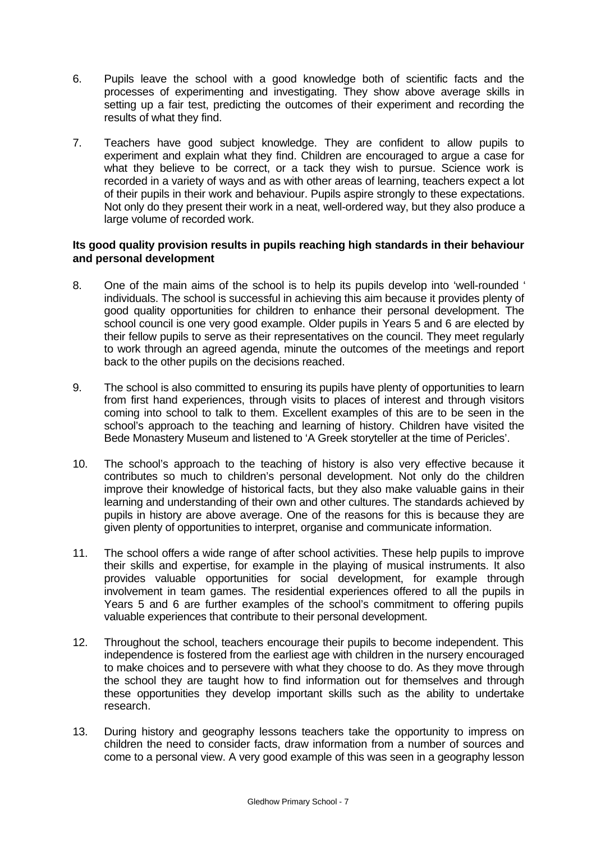- 6. Pupils leave the school with a good knowledge both of scientific facts and the processes of experimenting and investigating. They show above average skills in setting up a fair test, predicting the outcomes of their experiment and recording the results of what they find.
- 7. Teachers have good subject knowledge. They are confident to allow pupils to experiment and explain what they find. Children are encouraged to argue a case for what they believe to be correct, or a tack they wish to pursue. Science work is recorded in a variety of ways and as with other areas of learning, teachers expect a lot of their pupils in their work and behaviour. Pupils aspire strongly to these expectations. Not only do they present their work in a neat, well-ordered way, but they also produce a large volume of recorded work.

### **Its good quality provision results in pupils reaching high standards in their behaviour and personal development**

- 8. One of the main aims of the school is to help its pupils develop into 'well-rounded ' individuals. The school is successful in achieving this aim because it provides plenty of good quality opportunities for children to enhance their personal development. The school council is one very good example. Older pupils in Years 5 and 6 are elected by their fellow pupils to serve as their representatives on the council. They meet regularly to work through an agreed agenda, minute the outcomes of the meetings and report back to the other pupils on the decisions reached.
- 9. The school is also committed to ensuring its pupils have plenty of opportunities to learn from first hand experiences, through visits to places of interest and through visitors coming into school to talk to them. Excellent examples of this are to be seen in the school's approach to the teaching and learning of history. Children have visited the Bede Monastery Museum and listened to 'A Greek storyteller at the time of Pericles'.
- 10. The school's approach to the teaching of history is also very effective because it contributes so much to children's personal development. Not only do the children improve their knowledge of historical facts, but they also make valuable gains in their learning and understanding of their own and other cultures. The standards achieved by pupils in history are above average. One of the reasons for this is because they are given plenty of opportunities to interpret, organise and communicate information.
- 11. The school offers a wide range of after school activities. These help pupils to improve their skills and expertise, for example in the playing of musical instruments. It also provides valuable opportunities for social development, for example through involvement in team games. The residential experiences offered to all the pupils in Years 5 and 6 are further examples of the school's commitment to offering pupils valuable experiences that contribute to their personal development.
- 12. Throughout the school, teachers encourage their pupils to become independent. This independence is fostered from the earliest age with children in the nursery encouraged to make choices and to persevere with what they choose to do. As they move through the school they are taught how to find information out for themselves and through these opportunities they develop important skills such as the ability to undertake research.
- 13. During history and geography lessons teachers take the opportunity to impress on children the need to consider facts, draw information from a number of sources and come to a personal view. A very good example of this was seen in a geography lesson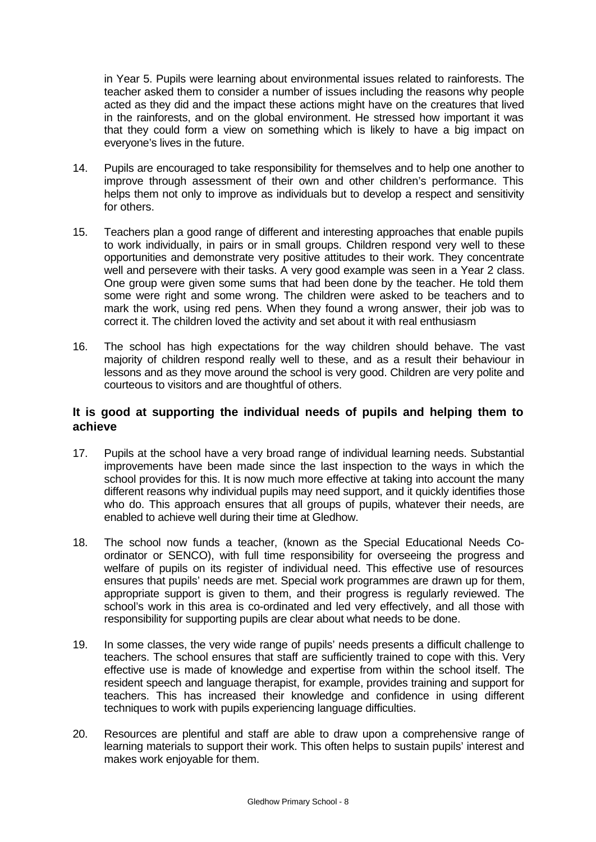in Year 5. Pupils were learning about environmental issues related to rainforests. The teacher asked them to consider a number of issues including the reasons why people acted as they did and the impact these actions might have on the creatures that lived in the rainforests, and on the global environment. He stressed how important it was that they could form a view on something which is likely to have a big impact on everyone's lives in the future.

- 14. Pupils are encouraged to take responsibility for themselves and to help one another to improve through assessment of their own and other children's performance. This helps them not only to improve as individuals but to develop a respect and sensitivity for others.
- 15. Teachers plan a good range of different and interesting approaches that enable pupils to work individually, in pairs or in small groups. Children respond very well to these opportunities and demonstrate very positive attitudes to their work. They concentrate well and persevere with their tasks. A very good example was seen in a Year 2 class. One group were given some sums that had been done by the teacher. He told them some were right and some wrong. The children were asked to be teachers and to mark the work, using red pens. When they found a wrong answer, their job was to correct it. The children loved the activity and set about it with real enthusiasm
- 16. The school has high expectations for the way children should behave. The vast majority of children respond really well to these, and as a result their behaviour in lessons and as they move around the school is very good. Children are very polite and courteous to visitors and are thoughtful of others.

## **It is good at supporting the individual needs of pupils and helping them to achieve**

- 17. Pupils at the school have a very broad range of individual learning needs. Substantial improvements have been made since the last inspection to the ways in which the school provides for this. It is now much more effective at taking into account the many different reasons why individual pupils may need support, and it quickly identifies those who do. This approach ensures that all groups of pupils, whatever their needs, are enabled to achieve well during their time at Gledhow.
- 18. The school now funds a teacher, (known as the Special Educational Needs Coordinator or SENCO), with full time responsibility for overseeing the progress and welfare of pupils on its register of individual need. This effective use of resources ensures that pupils' needs are met. Special work programmes are drawn up for them, appropriate support is given to them, and their progress is regularly reviewed. The school's work in this area is co-ordinated and led very effectively, and all those with responsibility for supporting pupils are clear about what needs to be done.
- 19. In some classes, the very wide range of pupils' needs presents a difficult challenge to teachers. The school ensures that staff are sufficiently trained to cope with this. Very effective use is made of knowledge and expertise from within the school itself. The resident speech and language therapist, for example, provides training and support for teachers. This has increased their knowledge and confidence in using different techniques to work with pupils experiencing language difficulties.
- 20. Resources are plentiful and staff are able to draw upon a comprehensive range of learning materials to support their work. This often helps to sustain pupils' interest and makes work enjoyable for them.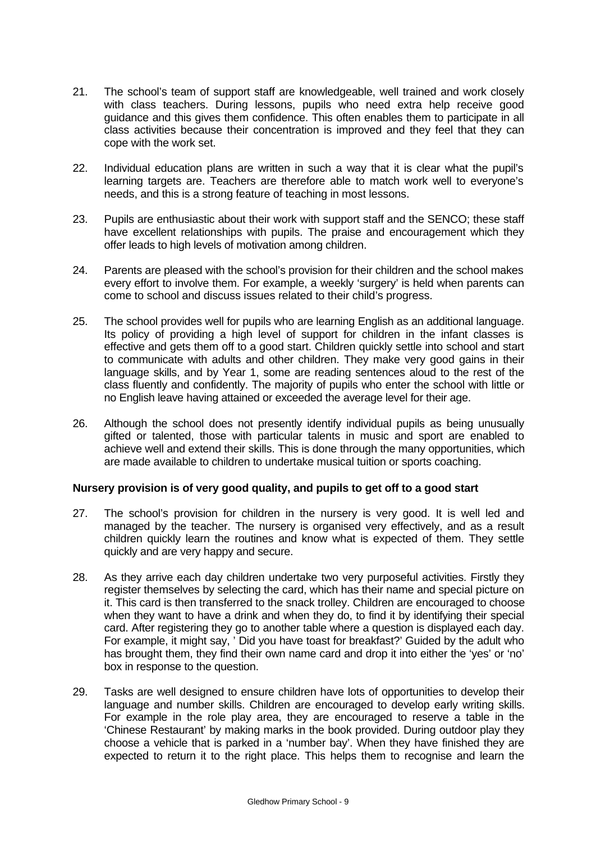- 21. The school's team of support staff are knowledgeable, well trained and work closely with class teachers. During lessons, pupils who need extra help receive good guidance and this gives them confidence. This often enables them to participate in all class activities because their concentration is improved and they feel that they can cope with the work set.
- 22. Individual education plans are written in such a way that it is clear what the pupil's learning targets are. Teachers are therefore able to match work well to everyone's needs, and this is a strong feature of teaching in most lessons.
- 23. Pupils are enthusiastic about their work with support staff and the SENCO; these staff have excellent relationships with pupils. The praise and encouragement which they offer leads to high levels of motivation among children.
- 24. Parents are pleased with the school's provision for their children and the school makes every effort to involve them. For example, a weekly 'surgery' is held when parents can come to school and discuss issues related to their child's progress.
- 25. The school provides well for pupils who are learning English as an additional language. Its policy of providing a high level of support for children in the infant classes is effective and gets them off to a good start. Children quickly settle into school and start to communicate with adults and other children. They make very good gains in their language skills, and by Year 1, some are reading sentences aloud to the rest of the class fluently and confidently. The majority of pupils who enter the school with little or no English leave having attained or exceeded the average level for their age.
- 26. Although the school does not presently identify individual pupils as being unusually gifted or talented, those with particular talents in music and sport are enabled to achieve well and extend their skills. This is done through the many opportunities, which are made available to children to undertake musical tuition or sports coaching.

### **Nursery provision is of very good quality, and pupils to get off to a good start**

- 27. The school's provision for children in the nursery is very good. It is well led and managed by the teacher. The nursery is organised very effectively, and as a result children quickly learn the routines and know what is expected of them. They settle quickly and are very happy and secure.
- 28. As they arrive each day children undertake two very purposeful activities. Firstly they register themselves by selecting the card, which has their name and special picture on it. This card is then transferred to the snack trolley. Children are encouraged to choose when they want to have a drink and when they do, to find it by identifying their special card. After registering they go to another table where a question is displayed each day. For example, it might say, ' Did you have toast for breakfast?' Guided by the adult who has brought them, they find their own name card and drop it into either the 'yes' or 'no' box in response to the question.
- 29. Tasks are well designed to ensure children have lots of opportunities to develop their language and number skills. Children are encouraged to develop early writing skills. For example in the role play area, they are encouraged to reserve a table in the 'Chinese Restaurant' by making marks in the book provided. During outdoor play they choose a vehicle that is parked in a 'number bay'. When they have finished they are expected to return it to the right place. This helps them to recognise and learn the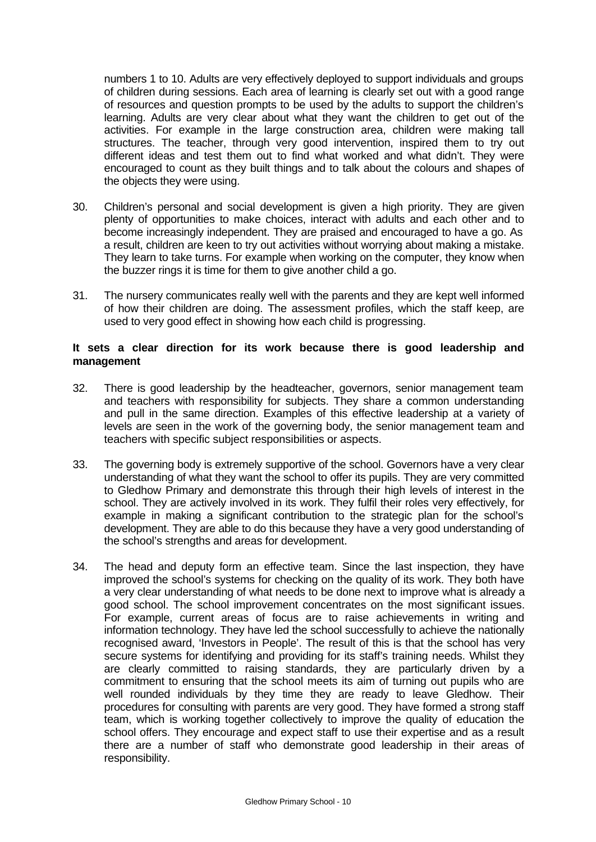numbers 1 to 10. Adults are very effectively deployed to support individuals and groups of children during sessions. Each area of learning is clearly set out with a good range of resources and question prompts to be used by the adults to support the children's learning. Adults are very clear about what they want the children to get out of the activities. For example in the large construction area, children were making tall structures. The teacher, through very good intervention, inspired them to try out different ideas and test them out to find what worked and what didn't. They were encouraged to count as they built things and to talk about the colours and shapes of the objects they were using.

- 30. Children's personal and social development is given a high priority. They are given plenty of opportunities to make choices, interact with adults and each other and to become increasingly independent. They are praised and encouraged to have a go. As a result, children are keen to try out activities without worrying about making a mistake. They learn to take turns. For example when working on the computer, they know when the buzzer rings it is time for them to give another child a go.
- 31. The nursery communicates really well with the parents and they are kept well informed of how their children are doing. The assessment profiles, which the staff keep, are used to very good effect in showing how each child is progressing.

#### **It sets a clear direction for its work because there is good leadership and management**

- 32. There is good leadership by the headteacher, governors, senior management team and teachers with responsibility for subjects. They share a common understanding and pull in the same direction. Examples of this effective leadership at a variety of levels are seen in the work of the governing body, the senior management team and teachers with specific subject responsibilities or aspects.
- 33. The governing body is extremely supportive of the school. Governors have a very clear understanding of what they want the school to offer its pupils. They are very committed to Gledhow Primary and demonstrate this through their high levels of interest in the school. They are actively involved in its work. They fulfil their roles very effectively, for example in making a significant contribution to the strategic plan for the school's development. They are able to do this because they have a very good understanding of the school's strengths and areas for development.
- 34. The head and deputy form an effective team. Since the last inspection, they have improved the school's systems for checking on the quality of its work. They both have a very clear understanding of what needs to be done next to improve what is already a good school. The school improvement concentrates on the most significant issues. For example, current areas of focus are to raise achievements in writing and information technology. They have led the school successfully to achieve the nationally recognised award, 'Investors in People'. The result of this is that the school has very secure systems for identifying and providing for its staff's training needs. Whilst they are clearly committed to raising standards, they are particularly driven by a commitment to ensuring that the school meets its aim of turning out pupils who are well rounded individuals by they time they are ready to leave Gledhow. Their procedures for consulting with parents are very good. They have formed a strong staff team, which is working together collectively to improve the quality of education the school offers. They encourage and expect staff to use their expertise and as a result there are a number of staff who demonstrate good leadership in their areas of responsibility.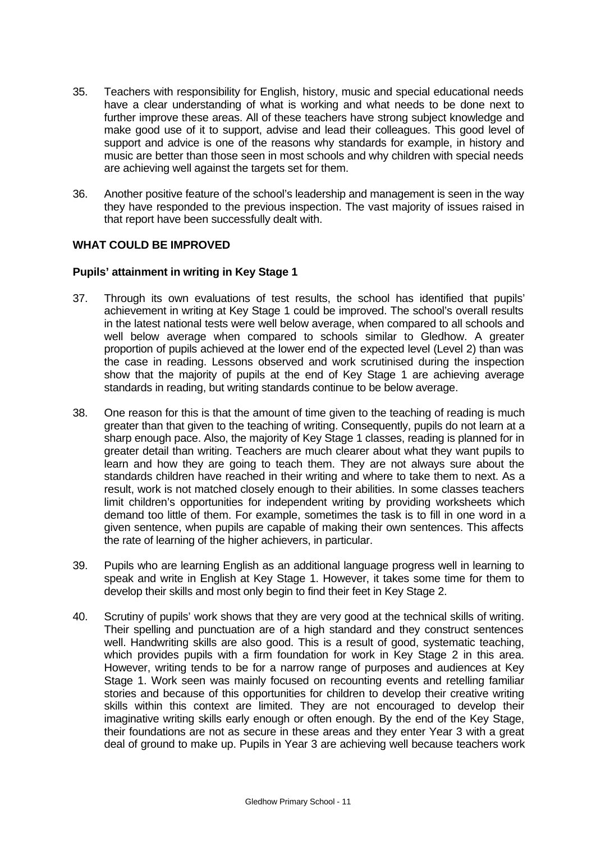- 35. Teachers with responsibility for English, history, music and special educational needs have a clear understanding of what is working and what needs to be done next to further improve these areas. All of these teachers have strong subject knowledge and make good use of it to support, advise and lead their colleagues. This good level of support and advice is one of the reasons why standards for example, in history and music are better than those seen in most schools and why children with special needs are achieving well against the targets set for them.
- 36. Another positive feature of the school's leadership and management is seen in the way they have responded to the previous inspection. The vast majority of issues raised in that report have been successfully dealt with.

### **WHAT COULD BE IMPROVED**

### **Pupils' attainment in writing in Key Stage 1**

- 37. Through its own evaluations of test results, the school has identified that pupils' achievement in writing at Key Stage 1 could be improved. The school's overall results in the latest national tests were well below average, when compared to all schools and well below average when compared to schools similar to Gledhow. A greater proportion of pupils achieved at the lower end of the expected level (Level 2) than was the case in reading. Lessons observed and work scrutinised during the inspection show that the majority of pupils at the end of Key Stage 1 are achieving average standards in reading, but writing standards continue to be below average.
- 38. One reason for this is that the amount of time given to the teaching of reading is much greater than that given to the teaching of writing. Consequently, pupils do not learn at a sharp enough pace. Also, the majority of Key Stage 1 classes, reading is planned for in greater detail than writing. Teachers are much clearer about what they want pupils to learn and how they are going to teach them. They are not always sure about the standards children have reached in their writing and where to take them to next. As a result, work is not matched closely enough to their abilities. In some classes teachers limit children's opportunities for independent writing by providing worksheets which demand too little of them. For example, sometimes the task is to fill in one word in a given sentence, when pupils are capable of making their own sentences. This affects the rate of learning of the higher achievers, in particular.
- 39. Pupils who are learning English as an additional language progress well in learning to speak and write in English at Key Stage 1. However, it takes some time for them to develop their skills and most only begin to find their feet in Key Stage 2.
- 40. Scrutiny of pupils' work shows that they are very good at the technical skills of writing. Their spelling and punctuation are of a high standard and they construct sentences well. Handwriting skills are also good. This is a result of good, systematic teaching, which provides pupils with a firm foundation for work in Key Stage 2 in this area. However, writing tends to be for a narrow range of purposes and audiences at Key Stage 1. Work seen was mainly focused on recounting events and retelling familiar stories and because of this opportunities for children to develop their creative writing skills within this context are limited. They are not encouraged to develop their imaginative writing skills early enough or often enough. By the end of the Key Stage, their foundations are not as secure in these areas and they enter Year 3 with a great deal of ground to make up. Pupils in Year 3 are achieving well because teachers work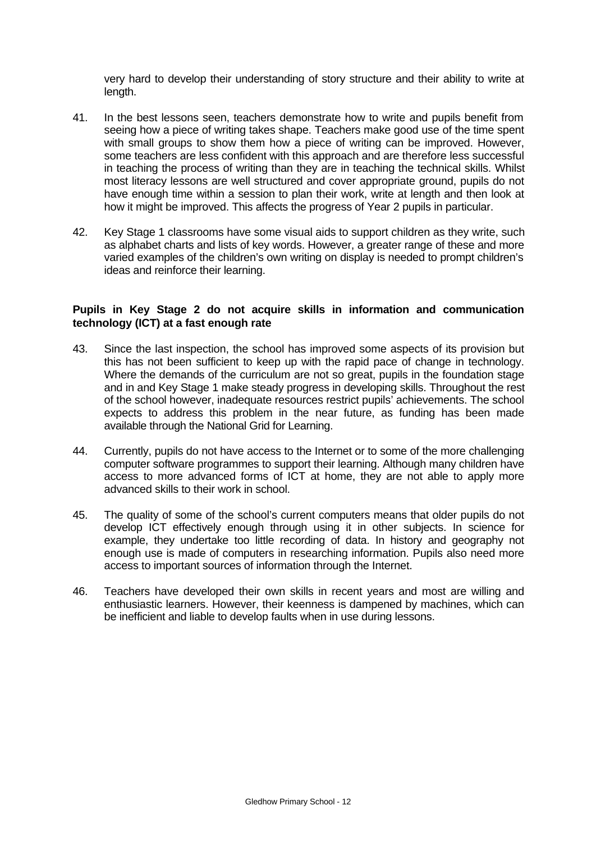very hard to develop their understanding of story structure and their ability to write at length.

- 41. In the best lessons seen, teachers demonstrate how to write and pupils benefit from seeing how a piece of writing takes shape. Teachers make good use of the time spent with small groups to show them how a piece of writing can be improved. However, some teachers are less confident with this approach and are therefore less successful in teaching the process of writing than they are in teaching the technical skills. Whilst most literacy lessons are well structured and cover appropriate ground, pupils do not have enough time within a session to plan their work, write at length and then look at how it might be improved. This affects the progress of Year 2 pupils in particular.
- 42. Key Stage 1 classrooms have some visual aids to support children as they write, such as alphabet charts and lists of key words. However, a greater range of these and more varied examples of the children's own writing on display is needed to prompt children's ideas and reinforce their learning.

#### **Pupils in Key Stage 2 do not acquire skills in information and communication technology (ICT) at a fast enough rate**

- 43. Since the last inspection, the school has improved some aspects of its provision but this has not been sufficient to keep up with the rapid pace of change in technology. Where the demands of the curriculum are not so great, pupils in the foundation stage and in and Key Stage 1 make steady progress in developing skills. Throughout the rest of the school however, inadequate resources restrict pupils' achievements. The school expects to address this problem in the near future, as funding has been made available through the National Grid for Learning.
- 44. Currently, pupils do not have access to the Internet or to some of the more challenging computer software programmes to support their learning. Although many children have access to more advanced forms of ICT at home, they are not able to apply more advanced skills to their work in school.
- 45. The quality of some of the school's current computers means that older pupils do not develop ICT effectively enough through using it in other subjects. In science for example, they undertake too little recording of data. In history and geography not enough use is made of computers in researching information. Pupils also need more access to important sources of information through the Internet.
- 46. Teachers have developed their own skills in recent years and most are willing and enthusiastic learners. However, their keenness is dampened by machines, which can be inefficient and liable to develop faults when in use during lessons.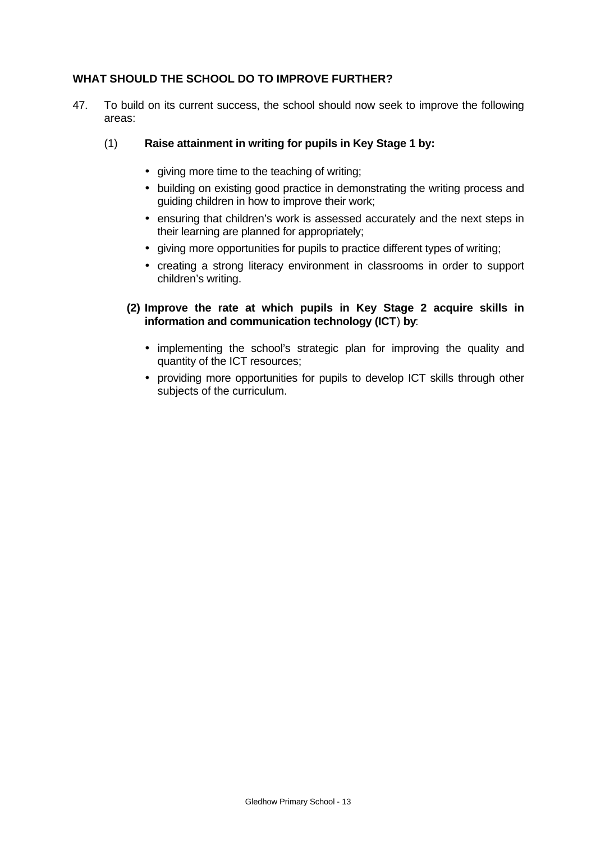## **WHAT SHOULD THE SCHOOL DO TO IMPROVE FURTHER?**

47. To build on its current success, the school should now seek to improve the following areas:

## (1) **Raise attainment in writing for pupils in Key Stage 1 by:**

- giving more time to the teaching of writing;
- building on existing good practice in demonstrating the writing process and guiding children in how to improve their work;
- ensuring that children's work is assessed accurately and the next steps in their learning are planned for appropriately;
- giving more opportunities for pupils to practice different types of writing;
- creating a strong literacy environment in classrooms in order to support children's writing.

## **(2) Improve the rate at which pupils in Key Stage 2 acquire skills in information and communication technology (ICT**) **by**:

- implementing the school's strategic plan for improving the quality and quantity of the ICT resources;
- providing more opportunities for pupils to develop ICT skills through other subjects of the curriculum.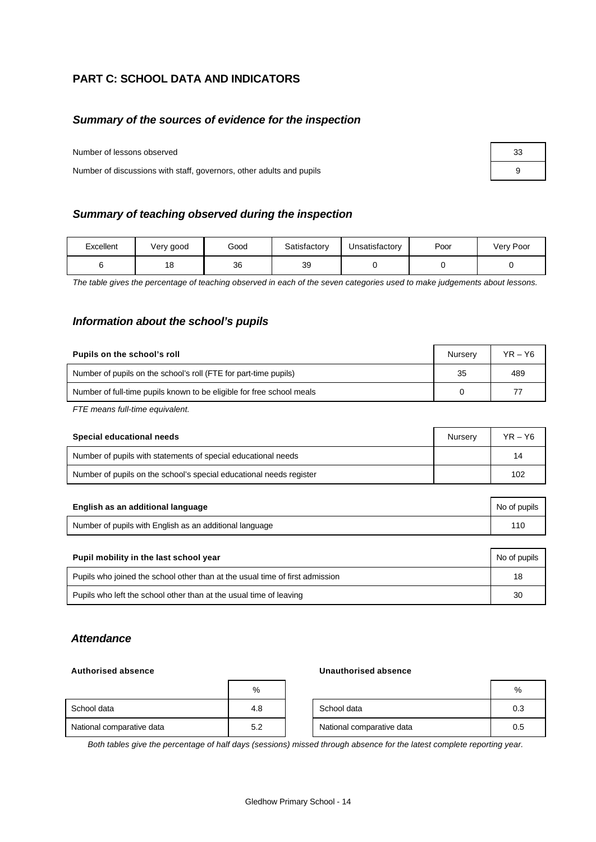## **PART C: SCHOOL DATA AND INDICATORS**

#### *Summary of the sources of evidence for the inspection*

Number of lessons observed

Number of discussions with staff, governors, other adults and pupils 9

| Summary of teaching observed during the inspection |  |
|----------------------------------------------------|--|
|                                                    |  |

| Excellent | Very good | Good | Satisfactory | Unsatisfactory | Poor | Very Poor |
|-----------|-----------|------|--------------|----------------|------|-----------|
|           | 18        | 36   | 39           |                |      |           |

*The table gives the percentage of teaching observed in each of the seven categories used to make judgements about lessons.*

#### *Information about the school's pupils*

| Pupils on the school's roll                                           | Nurserv | $YR - Y6$ |
|-----------------------------------------------------------------------|---------|-----------|
| Number of pupils on the school's roll (FTE for part-time pupils)      | 35      | 489       |
| Number of full-time pupils known to be eligible for free school meals |         |           |

*FTE means full-time equivalent.*

| Special educational needs                                           | Nurserv | $YR - Y6$ |
|---------------------------------------------------------------------|---------|-----------|
| Number of pupils with statements of special educational needs       |         | 14        |
| Number of pupils on the school's special educational needs register |         | 102       |

| English as an additional language                       | No of pupils |
|---------------------------------------------------------|--------------|
| Number of pupils with English as an additional language |              |

| Pupil mobility in the last school year                                       |    |  |  |
|------------------------------------------------------------------------------|----|--|--|
| Pupils who joined the school other than at the usual time of first admission | 18 |  |  |
| Pupils who left the school other than at the usual time of leaving           | 30 |  |  |

#### *Attendance*

#### **Authorised absence Unauthorised absence**

|                           | $\%$ |                           | %   |
|---------------------------|------|---------------------------|-----|
| School data               | 4.8  | School data               | 0.3 |
| National comparative data | 5.2  | National comparative data | 0.5 |

*Both tables give the percentage of half days (sessions) missed through absence for the latest complete reporting year.*

| 33 |  |
|----|--|
| 9  |  |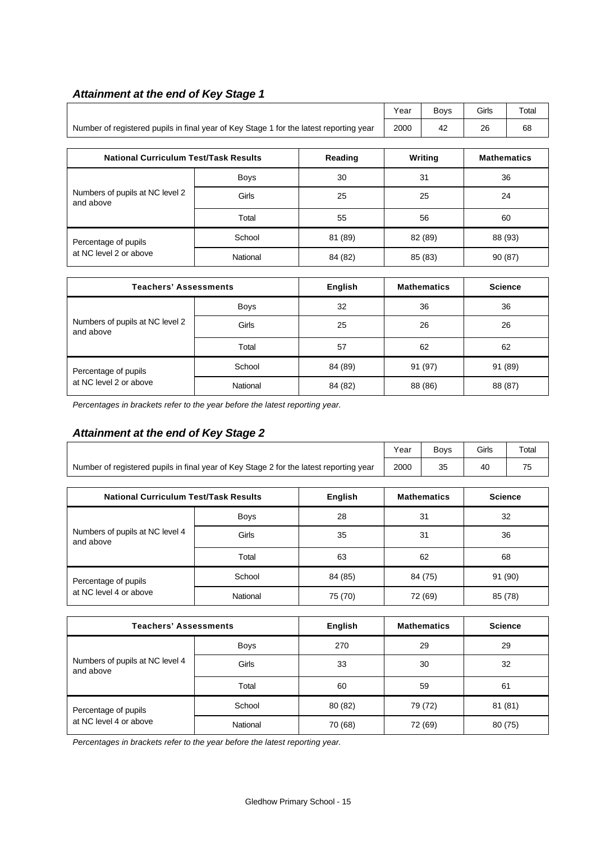# *Attainment at the end of Key Stage 1*

|                                                                                        | Year | <b>Bovs</b> | Girls | Total |
|----------------------------------------------------------------------------------------|------|-------------|-------|-------|
| Number of registered pupils in final year of Key Stage 1 for the latest reporting year | 2000 | 42          | 26    | 68    |

| <b>National Curriculum Test/Task Results</b> |          | Reading | Writing | <b>Mathematics</b> |
|----------------------------------------------|----------|---------|---------|--------------------|
|                                              | Boys     | 30      | 31      | 36                 |
| Numbers of pupils at NC level 2<br>and above | Girls    | 25      | 25      | 24                 |
|                                              | Total    | 55      | 56      | 60                 |
| Percentage of pupils                         | School   | 81 (89) | 82 (89) | 88 (93)            |
| at NC level 2 or above                       | National | 84 (82) | 85 (83) | 90 (87)            |

| <b>Teachers' Assessments</b>                 |             | <b>English</b> | <b>Mathematics</b> | <b>Science</b> |
|----------------------------------------------|-------------|----------------|--------------------|----------------|
| Numbers of pupils at NC level 2<br>and above | <b>Boys</b> | 32             | 36                 | 36             |
|                                              | Girls       | 25             | 26                 | 26             |
|                                              | Total       | 57             | 62                 | 62             |
| Percentage of pupils                         | School      | 84 (89)        | 91 (97)            | 91 (89)        |
| at NC level 2 or above                       | National    | 84 (82)        | 88 (86)            | 88 (87)        |

*Percentages in brackets refer to the year before the latest reporting year.*

# *Attainment at the end of Key Stage 2*

|                                                                                        | Year        | <b>Boys</b> | Girls | Total              |                |  |
|----------------------------------------------------------------------------------------|-------------|-------------|-------|--------------------|----------------|--|
| Number of registered pupils in final year of Key Stage 2 for the latest reporting year | 2000        | 35          | 40    | 75                 |                |  |
|                                                                                        |             |             |       |                    |                |  |
| <b>National Curriculum Test/Task Results</b>                                           |             | English     |       | <b>Mathematics</b> | <b>Science</b> |  |
|                                                                                        | <b>Boys</b> | 28          | 31    |                    | 32             |  |
| Numbers of pupils at NC level 4<br>and above                                           | Girls       | 35          |       | 31<br>36           |                |  |
|                                                                                        | Total       | 63          |       | 62                 | 68             |  |
| Percentage of pupils                                                                   | School      | 84 (85)     |       | 84 (75)            | 91 (90)        |  |
| at NC level 4 or above                                                                 | National    | 75 (70)     |       | 72 (69)            | 85 (78)        |  |

| <b>Teachers' Assessments</b>                 |             | English | <b>Mathematics</b> | <b>Science</b> |
|----------------------------------------------|-------------|---------|--------------------|----------------|
|                                              | <b>Boys</b> | 270     | 29                 | 29             |
| Numbers of pupils at NC level 4<br>and above | Girls       | 33      | 30                 | 32             |
|                                              | Total       | 60      | 59                 | 61             |
| Percentage of pupils                         | School      | 80 (82) | 79 (72)            | 81 (81)        |
| at NC level 4 or above                       | National    | 70 (68) | 72 (69)            | 80 (75)        |

*Percentages in brackets refer to the year before the latest reporting year.*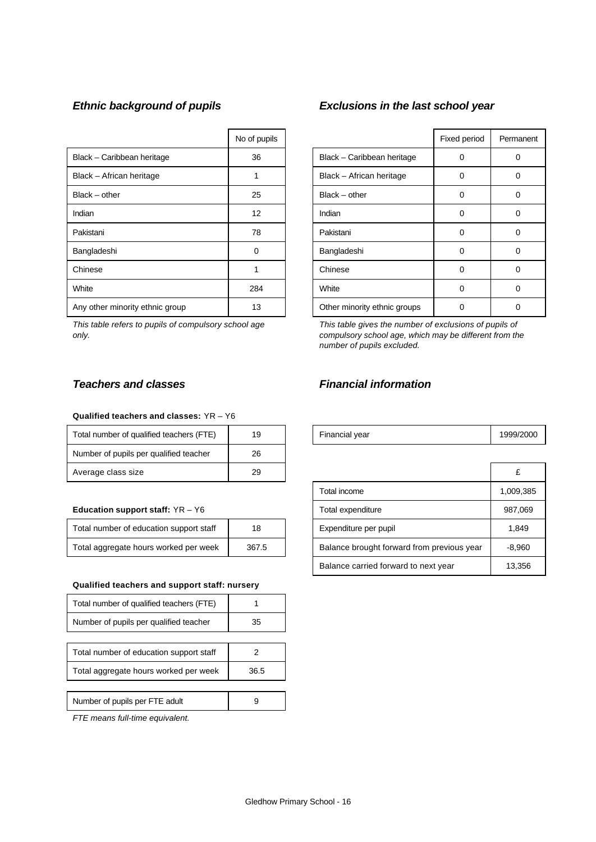|                                 | No of pupils |                              | Fixed period | Perma    |
|---------------------------------|--------------|------------------------------|--------------|----------|
| Black - Caribbean heritage      | 36           | Black - Caribbean heritage   | 0            | 0        |
| Black - African heritage        |              | Black - African heritage     | 0            | 0        |
| $Black - other$                 | 25           | $Black - other$              | 0            | 0        |
| Indian                          | 12           | Indian                       | 0            | 0        |
| Pakistani                       | 78           | Pakistani                    | 0            | $\Omega$ |
| Bangladeshi                     | 0            | Bangladeshi                  | 0            | 0        |
| Chinese                         |              | Chinese                      | 0            | 0        |
| White                           | 284          | White                        | 0            | 0        |
| Any other minority ethnic group | 13           | Other minority ethnic groups | 0            | 0        |

*This table refers to pupils of compulsory school age only.*

# *Ethnic background of pupils Exclusions in the last school year*

| No of pupils |                              | Fixed period | Permanent |
|--------------|------------------------------|--------------|-----------|
| 36           | Black - Caribbean heritage   |              |           |
|              | Black - African heritage     | ი            | U         |
| 25           | Black - other                | ი            | O         |
| 12           | Indian                       | 0            |           |
| 78           | Pakistani                    |              |           |
| ∩            | Bangladeshi                  | n            | Ω         |
|              | Chinese                      | ი            | O         |
| 284          | White                        | 0            | O         |
| 13           | Other minority ethnic groups |              |           |

*This table gives the number of exclusions of pupils of compulsory school age, which may be different from the number of pupils excluded.*

#### **Qualified teachers and classes:** YR – Y6

| Total number of qualified teachers (FTE) | 19 | Financial year | 1999/ |
|------------------------------------------|----|----------------|-------|
| Number of pupils per qualified teacher   | 26 |                |       |
| Average class size                       | 29 |                | c     |

#### **Education support staff: YR - Y6**

| Total number of education support staff | 18    |
|-----------------------------------------|-------|
| Total aggregate hours worked per week   | 367.5 |

#### **Qualified teachers and support staff: nursery**

| Total number of qualified teachers (FTE) |      |
|------------------------------------------|------|
| Number of pupils per qualified teacher   | 35   |
|                                          |      |
| Total number of education support staff  |      |
| Total aggregate hours worked per week    | 36.5 |
|                                          |      |
| Number of pupils per FTE adult           |      |

*FTE means full-time equivalent.*

## *Teachers and classes Financial information*

| Total number of qualified teachers (<br>(F F) |  | Financial vear | 2000 |
|-----------------------------------------------|--|----------------|------|
|-----------------------------------------------|--|----------------|------|

| Average class size                      | 29    |                                            |           |
|-----------------------------------------|-------|--------------------------------------------|-----------|
|                                         |       | Total income                               | 1,009,385 |
| <b>Education support staff:</b> YR – Y6 |       | Total expenditure                          | 987,069   |
| Total number of education support staff | 18    | Expenditure per pupil                      | 1,849     |
| Total aggregate hours worked per week   | 367.5 | Balance brought forward from previous year | $-8.960$  |
|                                         |       | Balance carried forward to next year       | 13,356    |